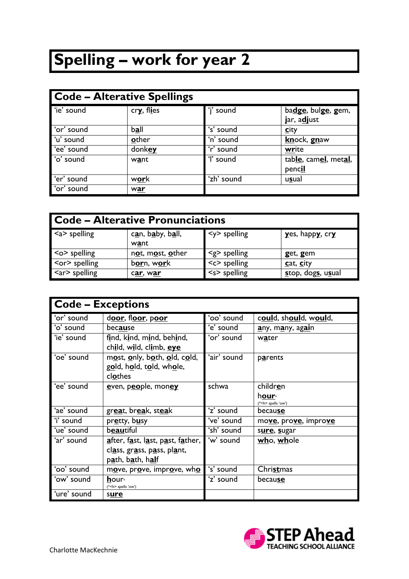## **Spelling – work for year 2**

| Code - Alterative Spellings |             |            |                                   |
|-----------------------------|-------------|------------|-----------------------------------|
| 'ie' sound                  | cry, flies  | 'i' sound  | badge, bulge, gem,<br>jar, adjust |
| or' sound                   | <u>ball</u> | 's' sound  | <u>city</u>                       |
| 'u' sound                   | other       | 'n' sound  | knock, gnaw                       |
| 'ee' sound                  | donkey      | 'r' sound  | write                             |
| o' sound                    | want        | 'l' sound  | table, camel, metal,<br>pencil    |
| 'er' sound                  | <u>work</u> | 'zh' sound | usual                             |
| or' sound                   | war         |            |                                   |

| <b>I Code – Alterative Pronunciations</b> |                              |                     |                   |
|-------------------------------------------|------------------------------|---------------------|-------------------|
| $\leq a$ > spelling                       | can, baby, ball,<br>want     | $<$ y> spelling     | yes, happy, cry   |
| $\leq$ $\circ$ spelling                   | not, most, other             | $\leq g$ > spelling | get, gem          |
| $ $ < or > spelling                       | b <u>or</u> n, w <u>or</u> k | $<<$ spelling       | cat, city         |
| $\langle$ ar> spelling                    | c <u>ar</u> , w <u>ar</u>    | $<$ s> spelling     | stop, dogs, usual |

|             | <b>Code - Exceptions</b>                                                     |             |                                  |
|-------------|------------------------------------------------------------------------------|-------------|----------------------------------|
| 'or' sound  | door, floor, poor                                                            | 'oo' sound  | could, should, would,            |
| 'o' sound   | because                                                                      | 'e' sound   | any, many, again                 |
| 'ie' sound  | find, kind, mind, behind,<br>child, wild, climb, eye                         | 'or' sound  | water                            |
| 'oe' sound  | most, only, both, old, cold,<br>gold, hold, told, whole,<br>clothes          | 'air' sound | parents                          |
| 'ee' sound  | even, people, money                                                          | schwa       | children                         |
|             |                                                                              |             | hour∗<br>(* <h> spells 'ow')</h> |
| 'ae' sound  | great, break, steak                                                          | 'z' sound   | because                          |
| 'i' sound   | pretty, busy                                                                 | 've' sound  | move, prove, improve             |
| 'ue' sound  | beautiful                                                                    | 'sh' sound  | sure, sugar                      |
| 'ar' sound  | <u>a</u> fter, f <u>a</u> st, l <u>a</u> st, p <u>a</u> st, f <u>a</u> ther, | 'w' sound   | who, whole                       |
|             | class, grass, pass, plant,                                                   |             |                                  |
|             | path, bath, half                                                             |             |                                  |
| 'oo' sound  | move, prove, improve, who                                                    | 's' sound   | Christmas                        |
| 'ow' sound  | hour <sub>*</sub><br>(* <h> spells 'ow')</h>                                 | 'z' sound   | because                          |
| 'ure' sound | sure                                                                         |             |                                  |

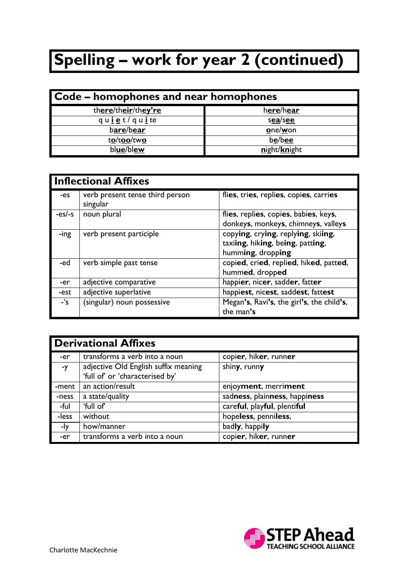## **Spelling – work for year 2 (continued)**

| Code - homophones and near homophones |              |  |
|---------------------------------------|--------------|--|
| there/their/they're                   | here/hear    |  |
| qu <u>i e</u> t/qu <u>i</u> te        | sea/see      |  |
| bare/bear                             | one/won      |  |
| to/too/two                            | be/bee       |  |
| blue/blew                             | night/knight |  |

|         | <b>Inflectional Affixes</b>                 |                                                                                             |  |
|---------|---------------------------------------------|---------------------------------------------------------------------------------------------|--|
| -es     | verb present tense third person<br>singular | flies, tries, replies, copies, carries                                                      |  |
| $-es/s$ | noun plural                                 | flies, replies, copies, babies, keys,<br>donkeys, monkeys, chimneys, valleys                |  |
| -ing    | verb present participle                     | copying, crying, replying, skiing,<br>taxiing, hiking, being, patting,<br>humming, dropping |  |
| -ed     | verb simple past tense                      | copied, cried, replied, hiked, patted,<br>hummed, dropped                                   |  |
| -er     | adjective comparative                       | happier, nicer, sadder, fatter                                                              |  |
| -est    | adjective superlative                       | happiest, nicest, saddest, fattest                                                          |  |
| $-$ 's  | (singular) noun possessive                  | Megan's, Ravi's, the girl's, the child's,<br>the man's                                      |  |

|       | <b>Derivational Affixes</b>          |                               |  |
|-------|--------------------------------------|-------------------------------|--|
| -er   | transforms a verb into a noun        | copier, hiker, runner         |  |
| -y    | adjective Old English suffix meaning | shiny, runny                  |  |
|       | 'full of' or 'characterised by'      |                               |  |
| -ment | an action/result                     | enjoyment, merriment          |  |
| -ness | a state/quality                      | sadness, plainness, happiness |  |
| -ful  | 'full of'                            | careful, playful, plentiful   |  |
| -less | without                              | hopeless, penniless,          |  |
| -ly   | how/manner                           | badly, happily                |  |
| -er   | transforms a verb into a noun        | copier, hiker, runner         |  |